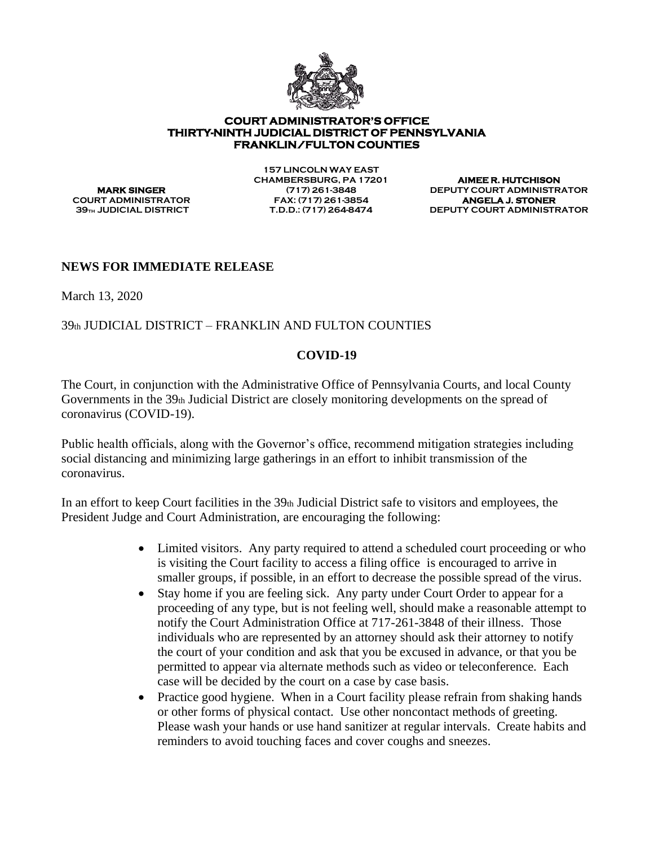

## **COURT ADMINISTRATOR'S OFFICE THIRTY-NINTH JUDICIAL DISTRICT OF PENNSYLVANIA FRANKLIN/FULTON COUNTIES**

**157 LINCOLN WAY EAST CHAMBERSBURG, PA 17201 AIMEE R. HUTCHISON COURT ADMINISTRATOR FAX: (717) 261-3854 ANGELA J. STONER** 

**MARK SINGER (717) 261-3848 DEPUTY COURT ADMINISTRATOR 39th JUDICIAL DISTRICT T.D.D.: (717) 264-8474 DEPUTY COURT ADMINISTRATOR**

## **NEWS FOR IMMEDIATE RELEASE**

March 13, 2020

## 39th JUDICIAL DISTRICT – FRANKLIN AND FULTON COUNTIES

## **COVID-19**

The Court, in conjunction with the Administrative Office of Pennsylvania Courts, and local County Governments in the 39th Judicial District are closely monitoring developments on the spread of coronavirus (COVID-19).

Public health officials, along with the Governor's office, recommend mitigation strategies including social distancing and minimizing large gatherings in an effort to inhibit transmission of the coronavirus.

In an effort to keep Court facilities in the  $39<sub>th</sub>$  Judicial District safe to visitors and employees, the President Judge and Court Administration, are encouraging the following:

- Limited visitors. Any party required to attend a scheduled court proceeding or who is visiting the Court facility to access a filing office is encouraged to arrive in smaller groups, if possible, in an effort to decrease the possible spread of the virus.
- Stay home if you are feeling sick. Any party under Court Order to appear for a proceeding of any type, but is not feeling well, should make a reasonable attempt to notify the Court Administration Office at 717-261-3848 of their illness. Those individuals who are represented by an attorney should ask their attorney to notify the court of your condition and ask that you be excused in advance, or that you be permitted to appear via alternate methods such as video or teleconference. Each case will be decided by the court on a case by case basis.
- Practice good hygiene. When in a Court facility please refrain from shaking hands or other forms of physical contact. Use other noncontact methods of greeting. Please wash your hands or use hand sanitizer at regular intervals. Create habits and reminders to avoid touching faces and cover coughs and sneezes.